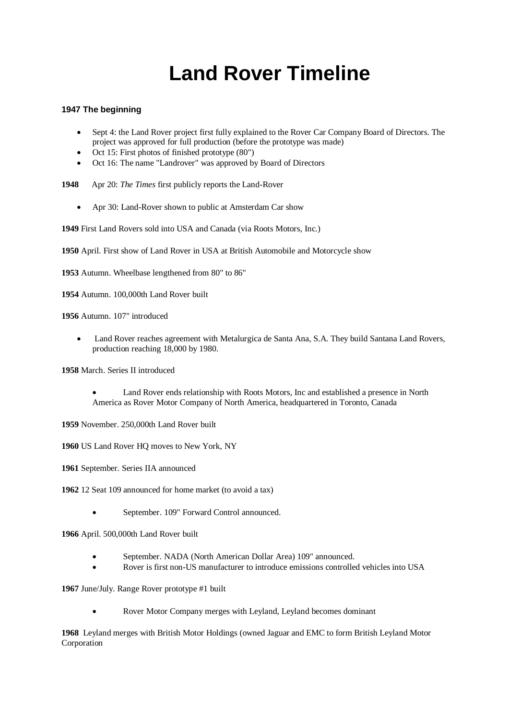## **Land Rover Timeline**

## **1947 The beginning**

- Sept 4: the Land Rover project first fully explained to the Rover Car Company Board of Directors. The project was approved for full production (before the prototype was made)
- Oct 15: First photos of finished prototype (80")
- Oct 16: The name "Landrover" was approved by Board of Directors
- **1948** Apr 20: *The Times* first publicly reports the Land-Rover
	- Apr 30: Land-Rover shown to public at Amsterdam Car show

**1949** First Land Rovers sold into USA and Canada (via Roots Motors, Inc.)

**1950** April. First show of Land Rover in USA at British Automobile and Motorcycle show

**1953** Autumn. Wheelbase lengthened from 80" to 86"

**1954** Autumn. 100,000th Land Rover built

**1956** Autumn. 107" introduced

 Land Rover reaches agreement with Metalurgica de Santa Ana, S.A. They build Santana Land Rovers, production reaching 18,000 by 1980.

**1958** March. Series II introduced

- Land Rover ends relationship with Roots Motors, Inc and established a presence in North America as Rover Motor Company of North America, headquartered in Toronto, Canada
- **1959** November. 250,000th Land Rover built
- **1960** US Land Rover HQ moves to New York, NY
- **1961** September. Series IIA announced
- **1962** 12 Seat 109 announced for home market (to avoid a tax)
	- September. 109" Forward Control announced.

**1966** April. 500,000th Land Rover built

- September. NADA (North American Dollar Area) 109" announced.
- Rover is first non-US manufacturer to introduce emissions controlled vehicles into USA

**1967** June/July. Range Rover prototype #1 built

Rover Motor Company merges with Leyland, Leyland becomes dominant

**1968** Leyland merges with British Motor Holdings (owned Jaguar and EMC to form British Leyland Motor Corporation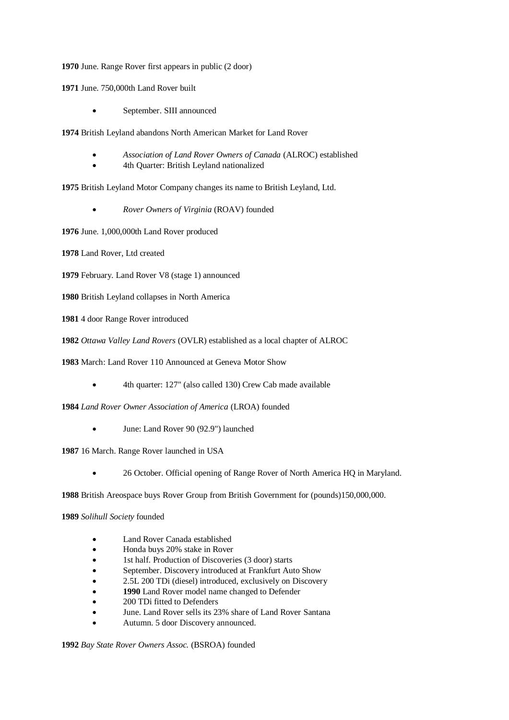**1970** June. Range Rover first appears in public (2 door)

**1971** June. 750,000th Land Rover built

September. SIII announced

**1974** British Leyland abandons North American Market for Land Rover

- *Association of Land Rover Owners of Canada* (ALROC) established
- 4th Quarter: British Leyland nationalized

**1975** British Leyland Motor Company changes its name to British Leyland, Ltd.

*Rover Owners of Virginia* (ROAV) founded

**1976** June. 1,000,000th Land Rover produced

**1978** Land Rover, Ltd created

**1979** February. Land Rover V8 (stage 1) announced

**1980** British Leyland collapses in North America

**1981** 4 door Range Rover introduced

**1982** *Ottawa Valley Land Rovers* (OVLR) established as a local chapter of ALROC

**1983** March: Land Rover 110 Announced at Geneva Motor Show

4th quarter: 127" (also called 130) Crew Cab made available

**1984** *Land Rover Owner Association of America* (LROA) founded

June: Land Rover 90 (92.9") launched

**1987** 16 March. Range Rover launched in USA

26 October. Official opening of Range Rover of North America HQ in Maryland.

**1988** British Areospace buys Rover Group from British Government for (pounds)150,000,000.

**1989** *Solihull Society* founded

- Land Rover Canada established
- Honda buys 20% stake in Rover
- 1st half. Production of Discoveries (3 door) starts
- September. Discovery introduced at Frankfurt Auto Show
- 2.5L 200 TDi (diesel) introduced, exclusively on Discovery
- **1990** Land Rover model name changed to Defender
- 200 TDi fitted to Defenders
- June. Land Rover sells its 23% share of Land Rover Santana
- Autumn. 5 door Discovery announced.

**1992** *Bay State Rover Owners Assoc.* (BSROA) founded